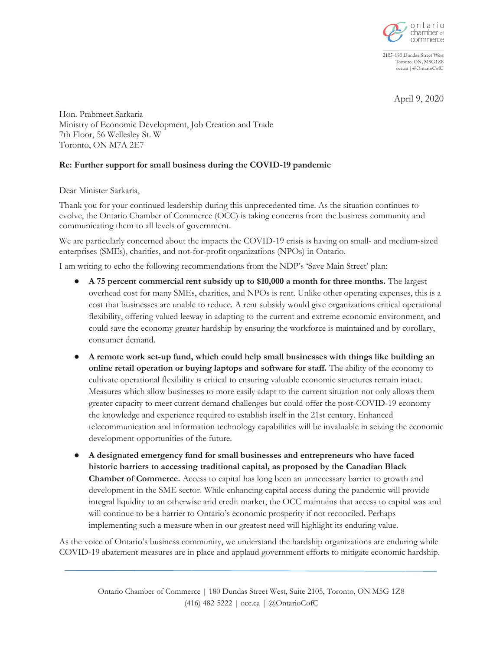

2105-180 Dundas Street West Toronto, ON, M5G1Z8 occ.ca | @OntarioCofC

April 9, 2020

Hon. Prabmeet Sarkaria Ministry of Economic Development, Job Creation and Trade 7th Floor, 56 Wellesley St. W Toronto, ON M7A 2E7

## **Re: Further support for small business during the COVID-19 pandemic**

Dear Minister Sarkaria,

Thank you for your continued leadership during this unprecedented time. As the situation continues to evolve, the Ontario Chamber of Commerce (OCC) is taking concerns from the business community and communicating them to all levels of government.

We are particularly concerned about the impacts the COVID-19 crisis is having on small- and medium-sized enterprises (SMEs), charities, and not-for-profit organizations (NPOs) in Ontario.

I am writing to echo the following recommendations from the NDP's 'Save Main Street' plan:

- **A 75 percent commercial rent subsidy up to \$10,000 a month for three months.** The largest overhead cost for many SMEs, charities, and NPOs is rent. Unlike other operating expenses, this is a cost that businesses are unable to reduce. A rent subsidy would give organizations critical operational flexibility, offering valued leeway in adapting to the current and extreme economic environment, and could save the economy greater hardship by ensuring the workforce is maintained and by corollary, consumer demand.
- **A remote work set-up fund, which could help small businesses with things like building an online retail operation or buying laptops and software for staff.** The ability of the economy to cultivate operational flexibility is critical to ensuring valuable economic structures remain intact. Measures which allow businesses to more easily adapt to the current situation not only allows them greater capacity to meet current demand challenges but could offer the post-COVID-19 economy the knowledge and experience required to establish itself in the 21st century. Enhanced telecommunication and information technology capabilities will be invaluable in seizing the economic development opportunities of the future.
- **A designated emergency fund for small businesses and entrepreneurs who have faced historic barriers to accessing traditional capital, as proposed by the Canadian Black Chamber of Commerce.** Access to capital has long been an unnecessary barrier to growth and development in the SME sector. While enhancing capital access during the pandemic will provide integral liquidity to an otherwise arid credit market, the OCC maintains that access to capital was and will continue to be a barrier to Ontario's economic prosperity if not reconciled. Perhaps implementing such a measure when in our greatest need will highlight its enduring value.

As the voice of Ontario's business community, we understand the hardship organizations are enduring while COVID-19 abatement measures are in place and applaud government efforts to mitigate economic hardship.